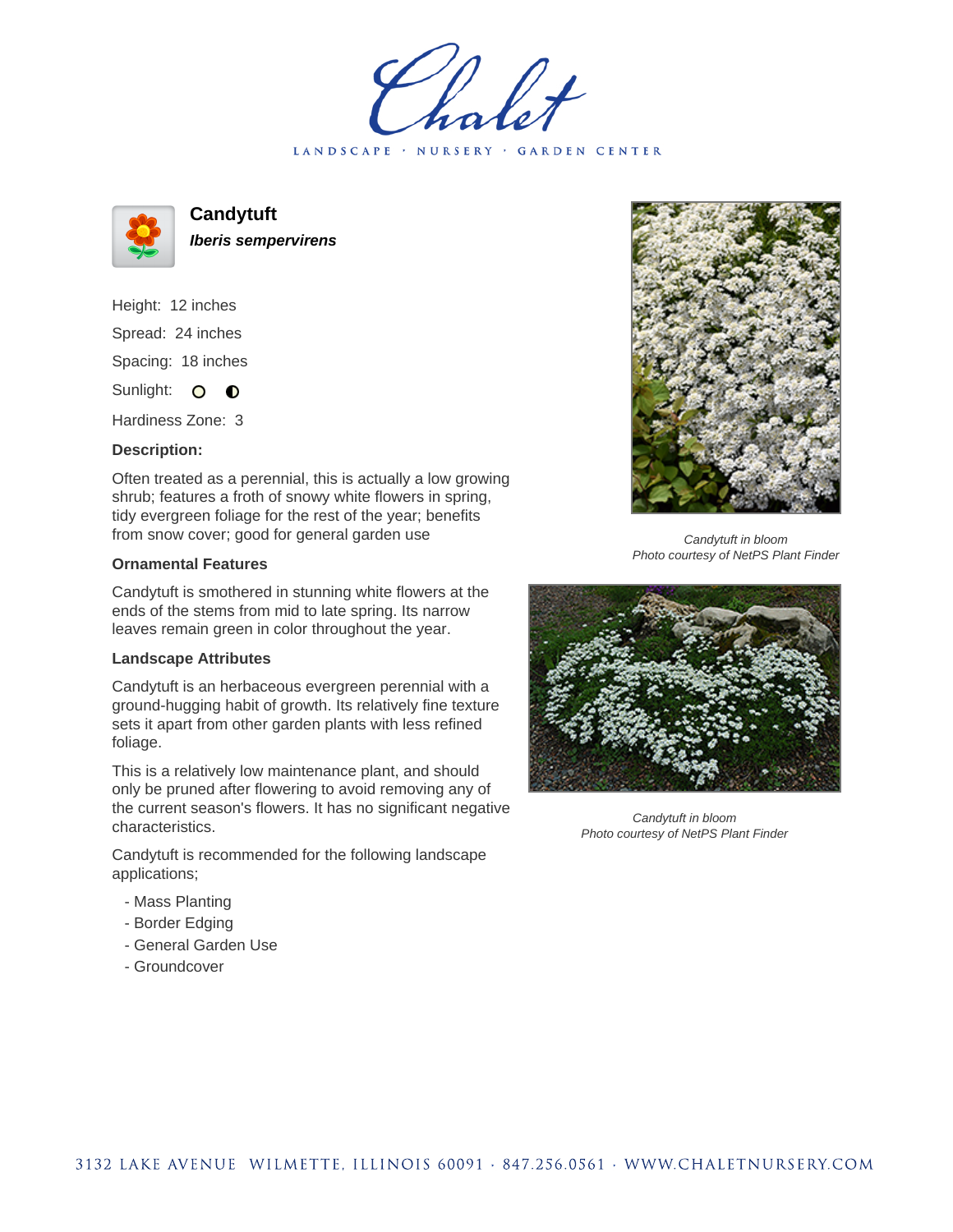holet LANDSCAPE · NURSERY · GARDEN CENTER



**Candytuft**

**Iberis sempervirens**

Height: 12 inches Spread: 24 inches Spacing: 18 inches Sunlight: O **O** 

Hardiness Zone: 3

## **Description:**

Often treated as a perennial, this is actually a low growing shrub; features a froth of snowy white flowers in spring, tidy evergreen foliage for the rest of the year; benefits from snow cover; good for general garden use

## **Ornamental Features**

Candytuft is smothered in stunning white flowers at the ends of the stems from mid to late spring. Its narrow leaves remain green in color throughout the year.

## **Landscape Attributes**

Candytuft is an herbaceous evergreen perennial with a ground-hugging habit of growth. Its relatively fine texture sets it apart from other garden plants with less refined foliage.

This is a relatively low maintenance plant, and should only be pruned after flowering to avoid removing any of the current season's flowers. It has no significant negative characteristics.

Candytuft is recommended for the following landscape applications;

- Mass Planting
- Border Edging
- General Garden Use
- Groundcover



Candytuft in bloom Photo courtesy of NetPS Plant Finder



Candytuft in bloom Photo courtesy of NetPS Plant Finder